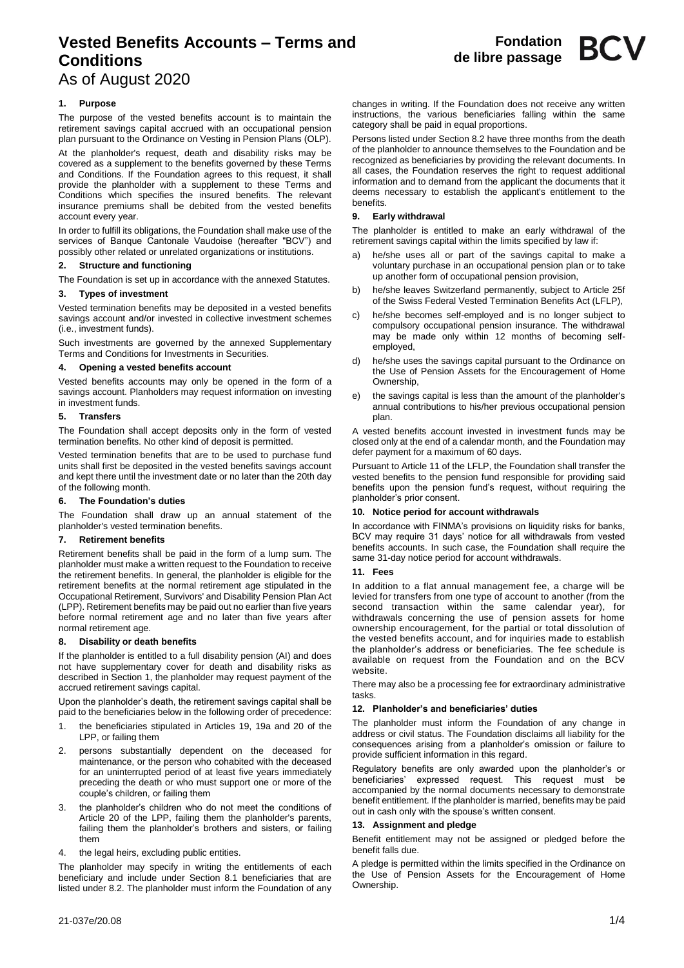# **Vested Benefits Accounts – Terms and Conditions**

As of August 2020

## **1. Purpose**

The purpose of the vested benefits account is to maintain the retirement savings capital accrued with an occupational pension plan pursuant to the Ordinance on Vesting in Pension Plans (OLP).

At the planholder's request, death and disability risks may be covered as a supplement to the benefits governed by these Terms and Conditions. If the Foundation agrees to this request, it shall provide the planholder with a supplement to these Terms and Conditions which specifies the insured benefits. The relevant insurance premiums shall be debited from the vested benefits account every year.

In order to fulfill its obligations, the Foundation shall make use of the services of Banque Cantonale Vaudoise (hereafter "BCV") and possibly other related or unrelated organizations or institutions.

## **2. Structure and functioning**

The Foundation is set up in accordance with the annexed Statutes.

### **3. Types of investment**

Vested termination benefits may be deposited in a vested benefits savings account and/or invested in collective investment schemes (i.e., investment funds).

Such investments are governed by the annexed Supplementary Terms and Conditions for Investments in Securities.

### **4. Opening a vested benefits account**

Vested benefits accounts may only be opened in the form of a savings account. Planholders may request information on investing in investment funds.

## **5. Transfers**

The Foundation shall accept deposits only in the form of vested termination benefits. No other kind of deposit is permitted.

Vested termination benefits that are to be used to purchase fund units shall first be deposited in the vested benefits savings account and kept there until the investment date or no later than the 20th day of the following month.

### **6. The Foundation's duties**

The Foundation shall draw up an annual statement of the planholder's vested termination benefits.

## **7. Retirement benefits**

Retirement benefits shall be paid in the form of a lump sum. The planholder must make a written request to the Foundation to receive the retirement benefits. In general, the planholder is eligible for the retirement benefits at the normal retirement age stipulated in the Occupational Retirement, Survivors' and Disability Pension Plan Act (LPP). Retirement benefits may be paid out no earlier than five years before normal retirement age and no later than five years after normal retirement age.

### **8. Disability or death benefits**

If the planholder is entitled to a full disability pension (AI) and does not have supplementary cover for death and disability risks as described in Section 1, the planholder may request payment of the accrued retirement savings capital.

Upon the planholder's death, the retirement savings capital shall be paid to the beneficiaries below in the following order of precedence:

- 1. the beneficiaries stipulated in Articles 19, 19a and 20 of the LPP, or failing them
- 2. persons substantially dependent on the deceased for maintenance, or the person who cohabited with the deceased for an uninterrupted period of at least five years immediately preceding the death or who must support one or more of the couple's children, or failing them
- 3. the planholder's children who do not meet the conditions of Article 20 of the LPP, failing them the planholder's parents, failing them the planholder's brothers and sisters, or failing them
- 4. the legal heirs, excluding public entities.

The planholder may specify in writing the entitlements of each beneficiary and include under Section 8.1 beneficiaries that are listed under 8.2. The planholder must inform the Foundation of any

changes in writing. If the Foundation does not receive any written instructions, the various beneficiaries falling within the same category shall be paid in equal proportions.

Persons listed under Section 8.2 have three months from the death of the planholder to announce themselves to the Foundation and be recognized as beneficiaries by providing the relevant documents. In all cases, the Foundation reserves the right to request additional information and to demand from the applicant the documents that it deems necessary to establish the applicant's entitlement to the benefits.

## **9. Early withdrawal**

The planholder is entitled to make an early withdrawal of the retirement savings capital within the limits specified by law if:

- he/she uses all or part of the savings capital to make a voluntary purchase in an occupational pension plan or to take up another form of occupational pension provision,
- b) he/she leaves Switzerland permanently, subject to Article 25f of the Swiss Federal Vested Termination Benefits Act (LFLP),
- he/she becomes self-employed and is no longer subject to compulsory occupational pension insurance. The withdrawal may be made only within 12 months of becoming selfemployed,
- d) he/she uses the savings capital pursuant to the Ordinance on the Use of Pension Assets for the Encouragement of Home Ownership,
- the savings capital is less than the amount of the planholder's annual contributions to his/her previous occupational pension plan.

A vested benefits account invested in investment funds may be closed only at the end of a calendar month, and the Foundation may defer payment for a maximum of 60 days.

Pursuant to Article 11 of the LFLP, the Foundation shall transfer the vested benefits to the pension fund responsible for providing said benefits upon the pension fund's request, without requiring the planholder's prior consent.

### **10. Notice period for account withdrawals**

In accordance with FINMA's provisions on liquidity risks for banks, BCV may require 31 days' notice for all withdrawals from vested benefits accounts. In such case, the Foundation shall require the same 31-day notice period for account withdrawals.

## **11. Fees**

In addition to a flat annual management fee, a charge will be levied for transfers from one type of account to another (from the second transaction within the same calendar year), for withdrawals concerning the use of pension assets for home ownership encouragement, for the partial or total dissolution of the vested benefits account, and for inquiries made to establish the planholder's address or beneficiaries. The fee schedule is available on request from the Foundation and on the BCV website

There may also be a processing fee for extraordinary administrative tasks.

## **12. Planholder's and beneficiaries' duties**

The planholder must inform the Foundation of any change in address or civil status. The Foundation disclaims all liability for the consequences arising from a planholder's omission or failure to provide sufficient information in this regard.

Regulatory benefits are only awarded upon the planholder's or beneficiaries' expressed request. This request must be accompanied by the normal documents necessary to demonstrate benefit entitlement. If the planholder is married, benefits may be paid out in cash only with the spouse's written consent.

## **13. Assignment and pledge**

Benefit entitlement may not be assigned or pledged before the benefit falls due.

A pledge is permitted within the limits specified in the Ordinance on the Use of Pension Assets for the Encouragement of Home Ownership.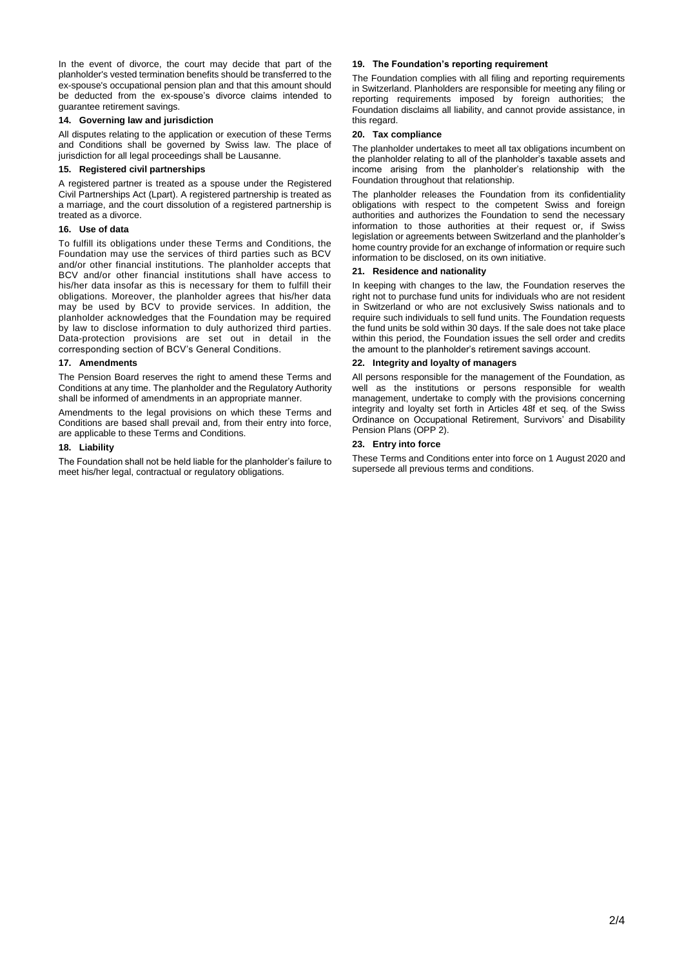In the event of divorce, the court may decide that part of the planholder's vested termination benefits should be transferred to the ex-spouse's occupational pension plan and that this amount should be deducted from the ex-spouse's divorce claims intended to guarantee retirement savings.

## **14. Governing law and jurisdiction**

All disputes relating to the application or execution of these Terms and Conditions shall be governed by Swiss law. The place of jurisdiction for all legal proceedings shall be Lausanne.

## **15. Registered civil partnerships**

A registered partner is treated as a spouse under the Registered Civil Partnerships Act (Lpart). A registered partnership is treated as a marriage, and the court dissolution of a registered partnership is treated as a divorce.

## **16. Use of data**

To fulfill its obligations under these Terms and Conditions, the Foundation may use the services of third parties such as BCV and/or other financial institutions. The planholder accepts that BCV and/or other financial institutions shall have access to his/her data insofar as this is necessary for them to fulfill their obligations. Moreover, the planholder agrees that his/her data may be used by BCV to provide services. In addition, the planholder acknowledges that the Foundation may be required by law to disclose information to duly authorized third parties. Data-protection provisions are set out in detail in the corresponding section of BCV's General Conditions.

## **17. Amendments**

The Pension Board reserves the right to amend these Terms and Conditions at any time. The planholder and the Regulatory Authority shall be informed of amendments in an appropriate manner.

Amendments to the legal provisions on which these Terms and Conditions are based shall prevail and, from their entry into force, are applicable to these Terms and Conditions.

### **18. Liability**

The Foundation shall not be held liable for the planholder's failure to meet his/her legal, contractual or regulatory obligations.

## **19. The Foundation's reporting requirement**

The Foundation complies with all filing and reporting requirements in Switzerland. Planholders are responsible for meeting any filing or reporting requirements imposed by foreign authorities; the Foundation disclaims all liability, and cannot provide assistance, in this regard.

### **20. Tax compliance**

The planholder undertakes to meet all tax obligations incumbent on the planholder relating to all of the planholder's taxable assets and income arising from the planholder's relationship with the Foundation throughout that relationship.

The planholder releases the Foundation from its confidentiality obligations with respect to the competent Swiss and foreign authorities and authorizes the Foundation to send the necessary information to those authorities at their request or, if Swiss legislation or agreements between Switzerland and the planholder's home country provide for an exchange of information or require such information to be disclosed, on its own initiative.

## **21. Residence and nationality**

In keeping with changes to the law, the Foundation reserves the right not to purchase fund units for individuals who are not resident in Switzerland or who are not exclusively Swiss nationals and to require such individuals to sell fund units. The Foundation requests the fund units be sold within 30 days. If the sale does not take place within this period, the Foundation issues the sell order and credits the amount to the planholder's retirement savings account.

## **22. Integrity and loyalty of managers**

All persons responsible for the management of the Foundation, as well as the institutions or persons responsible for wealth management, undertake to comply with the provisions concerning integrity and loyalty set forth in Articles 48f et seq. of the Swiss Ordinance on Occupational Retirement, Survivors' and Disability Pension Plans (OPP 2).

## **23. Entry into force**

These Terms and Conditions enter into force on 1 August 2020 and supersede all previous terms and conditions.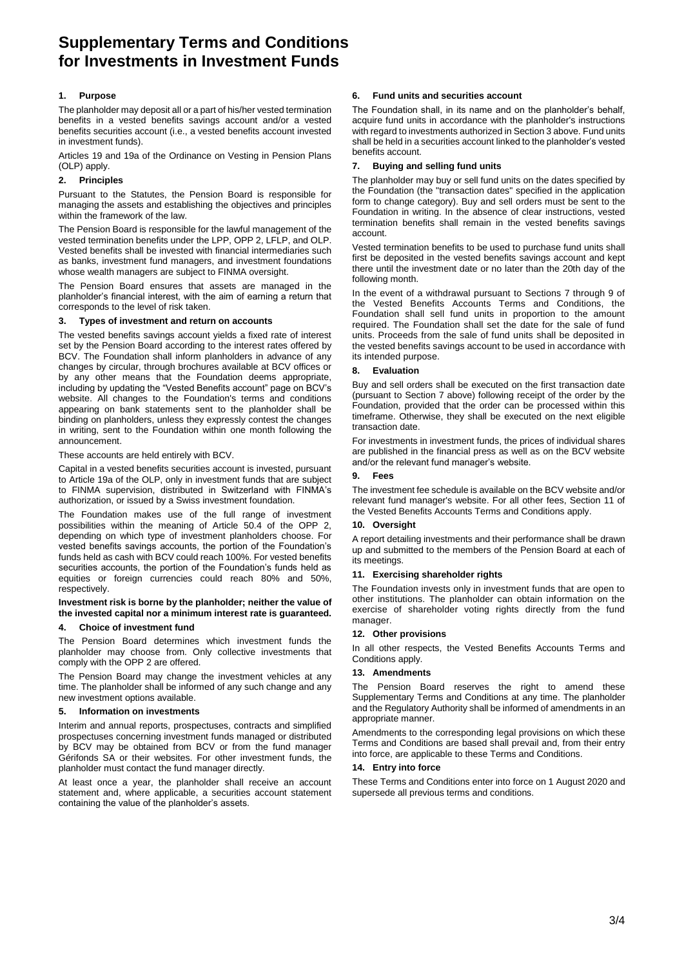## **Supplementary Terms and Conditions for Investments in Investment Funds**

## **1. Purpose**

The planholder may deposit all or a part of his/her vested termination benefits in a vested benefits savings account and/or a vested benefits securities account (i.e., a vested benefits account invested in investment funds).

Articles 19 and 19a of the Ordinance on Vesting in Pension Plans (OLP) apply.

## **2. Principles**

Pursuant to the Statutes, the Pension Board is responsible for managing the assets and establishing the objectives and principles within the framework of the law.

The Pension Board is responsible for the lawful management of the vested termination benefits under the LPP, OPP 2, LFLP, and OLP. Vested benefits shall be invested with financial intermediaries such as banks, investment fund managers, and investment foundations whose wealth managers are subject to FINMA oversight.

The Pension Board ensures that assets are managed in the planholder's financial interest, with the aim of earning a return that corresponds to the level of risk taken.

## **3. Types of investment and return on accounts**

The vested benefits savings account yields a fixed rate of interest set by the Pension Board according to the interest rates offered by BCV. The Foundation shall inform planholders in advance of any changes by circular, through brochures available at BCV offices or by any other means that the Foundation deems appropriate, including by updating the "Vested Benefits account" page on BCV's website. All changes to the Foundation's terms and conditions appearing on bank statements sent to the planholder shall be binding on planholders, unless they expressly contest the changes in writing, sent to the Foundation within one month following the announcement.

These accounts are held entirely with BCV.

Capital in a vested benefits securities account is invested, pursuant to Article 19a of the OLP, only in investment funds that are subject to FINMA supervision, distributed in Switzerland with FINMA's authorization, or issued by a Swiss investment foundation.

The Foundation makes use of the full range of investment possibilities within the meaning of Article 50.4 of the OPP 2, depending on which type of investment planholders choose. For vested benefits savings accounts, the portion of the Foundation's funds held as cash with BCV could reach 100%. For vested benefits securities accounts, the portion of the Foundation's funds held as equities or foreign currencies could reach 80% and 50%, respectively.

**Investment risk is borne by the planholder; neither the value of the invested capital nor a minimum interest rate is guaranteed.**

## **4. Choice of investment fund**

The Pension Board determines which investment funds the planholder may choose from. Only collective investments that comply with the OPP 2 are offered.

The Pension Board may change the investment vehicles at any time. The planholder shall be informed of any such change and any new investment options available.

### **5. Information on investments**

Interim and annual reports, prospectuses, contracts and simplified prospectuses concerning investment funds managed or distributed by BCV may be obtained from BCV or from the fund manager Gérifonds SA or their websites. For other investment funds, the planholder must contact the fund manager directly.

At least once a year, the planholder shall receive an account statement and, where applicable, a securities account statement containing the value of the planholder's assets.

## **6. Fund units and securities account**

The Foundation shall, in its name and on the planholder's behalf, acquire fund units in accordance with the planholder's instructions with regard to investments authorized in Section 3 above. Fund units shall be held in a securities account linked to the planholder's vested benefits account.

## **7. Buying and selling fund units**

The planholder may buy or sell fund units on the dates specified by the Foundation (the "transaction dates" specified in the application form to change category). Buy and sell orders must be sent to the Foundation in writing. In the absence of clear instructions, vested termination benefits shall remain in the vested benefits savings account.

Vested termination benefits to be used to purchase fund units shall first be deposited in the vested benefits savings account and kept there until the investment date or no later than the 20th day of the following month.

In the event of a withdrawal pursuant to Sections 7 through 9 of the Vested Benefits Accounts Terms and Conditions, the Foundation shall sell fund units in proportion to the amount required. The Foundation shall set the date for the sale of fund units. Proceeds from the sale of fund units shall be deposited in the vested benefits savings account to be used in accordance with its intended purpose.

## **8. Evaluation**

Buy and sell orders shall be executed on the first transaction date (pursuant to Section 7 above) following receipt of the order by the Foundation, provided that the order can be processed within this timeframe. Otherwise, they shall be executed on the next eligible transaction date.

For investments in investment funds, the prices of individual shares are published in the financial press as well as on the BCV website and/or the relevant fund manager's website.

### **9. Fees**

The investment fee schedule is available on the BCV website and/or relevant fund manager's website. For all other fees, Section 11 of the Vested Benefits Accounts Terms and Conditions apply.

## **10. Oversight**

A report detailing investments and their performance shall be drawn up and submitted to the members of the Pension Board at each of its meetings.

### **11. Exercising shareholder rights**

The Foundation invests only in investment funds that are open to other institutions. The planholder can obtain information on the exercise of shareholder voting rights directly from the fund manager.

### **12. Other provisions**

In all other respects, the Vested Benefits Accounts Terms and Conditions apply.

## **13. Amendments**

The Pension Board reserves the right to amend these Supplementary Terms and Conditions at any time. The planholder and the Regulatory Authority shall be informed of amendments in an appropriate manner.

Amendments to the corresponding legal provisions on which these Terms and Conditions are based shall prevail and, from their entry into force, are applicable to these Terms and Conditions.

### **14. Entry into force**

These Terms and Conditions enter into force on 1 August 2020 and supersede all previous terms and conditions.